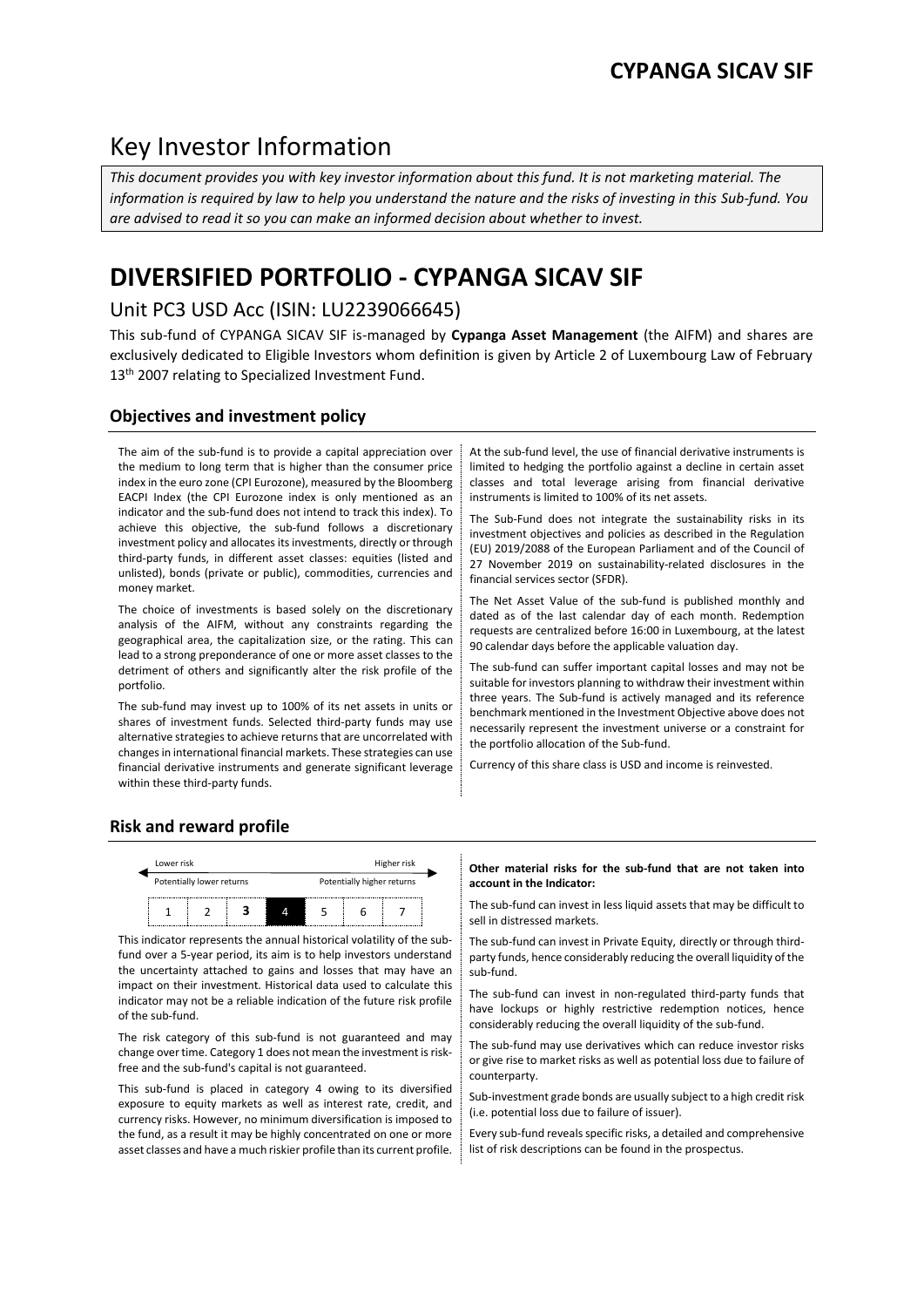# Key Investor Information

*This document provides you with key investor information about this fund. It is not marketing material. The information is required by law to help you understand the nature and the risks of investing in this Sub-fund. You are advised to read it so you can make an informed decision about whether to invest.*

# **DIVERSIFIED PORTFOLIO - CYPANGA SICAV SIF**

# Unit PC3 USD Acc (ISIN: LU2239066645)

This sub-fund of CYPANGA SICAV SIF is-managed by **Cypanga Asset Management** (the AIFM) and shares are exclusively dedicated to Eligible Investors whom definition is given by Article 2 of Luxembourg Law of February 13<sup>th</sup> 2007 relating to Specialized Investment Fund.

# **Objectives and investment policy**

The aim of the sub-fund is to provide a capital appreciation over the medium to long term that is higher than the consumer price index in the euro zone (CPI Eurozone), measured by the Bloomberg EACPI Index (the CPI Eurozone index is only mentioned as an indicator and the sub-fund does not intend to track this index). To achieve this objective, the sub-fund follows a discretionary investment policy and allocates its investments, directly or through third-party funds, in different asset classes: equities (listed and unlisted), bonds (private or public), commodities, currencies and money market.

The choice of investments is based solely on the discretionary analysis of the AIFM, without any constraints regarding the geographical area, the capitalization size, or the rating. This can lead to a strong preponderance of one or more asset classes to the detriment of others and significantly alter the risk profile of the portfolio.

The sub-fund may invest up to 100% of its net assets in units or shares of investment funds. Selected third-party funds may use alternative strategies to achieve returns that are uncorrelated with changes in international financial markets. These strategies can use financial derivative instruments and generate significant leverage within these third-party funds.

At the sub-fund level, the use of financial derivative instruments is limited to hedging the portfolio against a decline in certain asset classes and total leverage arising from financial derivative instruments is limited to 100% of its net assets.

The Sub-Fund does not integrate the sustainability risks in its investment objectives and policies as described in the Regulation (EU) 2019/2088 of the European Parliament and of the Council of 27 November 2019 on sustainability-related disclosures in the financial services sector (SFDR).

The Net Asset Value of the sub-fund is published monthly and dated as of the last calendar day of each month. Redemption requests are centralized before 16:00 in Luxembourg, at the latest 90 calendar days before the applicable valuation day.

The sub-fund can suffer important capital losses and may not be suitable for investors planning to withdraw their investment within three years. The Sub-fund is actively managed and its reference benchmark mentioned in the Investment Objective above does not necessarily represent the investment universe or a constraint for the portfolio allocation of the Sub-fund.

Currency of this share class is USD and income is reinvested.

# **Risk and reward profile**



This indicator represents the annual historical volatility of the subfund over a 5-year period, its aim is to help investors understand the uncertainty attached to gains and losses that may have an impact on their investment. Historical data used to calculate this indicator may not be a reliable indication of the future risk profile of the sub-fund.

The risk category of this sub-fund is not guaranteed and may change over time. Category 1 does not mean the investment is riskfree and the sub-fund's capital is not guaranteed.

This sub-fund is placed in category 4 owing to its diversified exposure to equity markets as well as interest rate, credit, and currency risks. However, no minimum diversification is imposed to the fund, as a result it may be highly concentrated on one or more asset classes and have a much riskier profile than its current profile.

#### **Other material risks for the sub-fund that are not taken into account in the Indicator:**

The sub-fund can invest in less liquid assets that may be difficult to sell in distressed markets.

The sub-fund can invest in Private Equity, directly or through thirdparty funds, hence considerably reducing the overall liquidity of the sub-fund.

The sub-fund can invest in non-regulated third-party funds that have lockups or highly restrictive redemption notices, hence considerably reducing the overall liquidity of the sub-fund.

The sub-fund may use derivatives which can reduce investor risks or give rise to market risks as well as potential loss due to failure of counterparty.

Sub-investment grade bonds are usually subject to a high credit risk (i.e. potential loss due to failure of issuer).

Every sub-fund reveals specific risks, a detailed and comprehensive list of risk descriptions can be found in the prospectus.